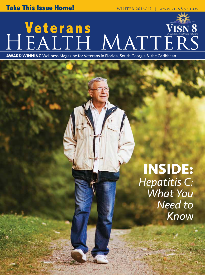# **Veterans** HEALTH MATTERS

**AWARD WINNING** Wellness Magazine for Veterans in Florida, South Georgia & the Caribbean

### **INSIDE:** *Hepatitis C: What You Need to Know*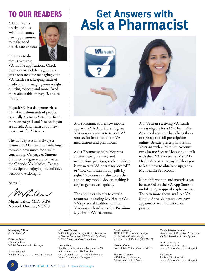### **TO OUR READERS**

A New Year is nearly upon us! With that comes new opportunities to make good health care choices!



One way to do that is by using

VA mobile applications. Check them out at mobile.va.gov. Find great resources for managing your VA health care, keeping track of medication, managing your weight, quitting tobacco and more! Read more about this on page 3, and to the right.

Hepatitis C is a dangerous virus that affects thousands of people, especially Vietnam Veterans. Read more on pages 4 and 5 to see if you are at risk. And, learn about new treatments for Veterans.

The holiday season is always a joyous time! But we can easily forget to watch how much food we're consuming. On page 6, Simone S. Canty, a registered dietitian at the Orlando VA Medical Center, offers tips for enjoying the holidays without overdoing it.

Be well!

MLan

Miguel LaPuz, M.D., MPA Network Director, VISN 8

## **Get Answers with Ask a Pharmacist**



Ask a Pharmacist is a new mobile app at the VA App Store. It gives Veterans easy access to trusted VA sources for information on VA medications and pharmacies.

Ask a Pharmacist helps Veterans answer basic pharmacy and medication questions, such as "where is my nearest VA pharmacy located?" or "how can I identify my pills by sight?" Veterans can also access the app on any mobile device, making it easy to get answers quickly.

The app links directly to certain resources, including My Health*e*Vet, VA's personal health record for Veterans with Advanced or Premium My Health*e*Vet accounts.

Any Veteran receiving VA health care is eligible for a My Health*e*Vet Advanced account that allows them to sign up to refill prescriptions online. Besides prescription refills, Veterans with a Premium Account can also use Secure Messaging to talk with their VA care teams. Visit My Health*e*Vet at www.myhealth.va.gov to learn how to obtain or upgrade a My Health*e*Vet account.

More information and materials can be accessed on the VA App Store at mobile.va.gov/app/ask-a-pharmacist. To learn more about available VA Mobile Apps, visit mobile.va.gov/ appstore or read the article on page 3.

**Managing Editor** *Susan Wentzell* 

**Editorial Board** *Mary Kay Rutan* VISN 8 Communication Manager

*Susan Wentzell* VISN 8 Deputy Communication Manager

#### *Michelle Winslow*

VISN 8 Program Manager, Health Promotion & Disease Prevention (HPDP), and Co-Chair, VISN 8 Preventive Care Committee

*Diana Akins* Bay Pines VA Healthcare System (VAHCS) Acting Veterans Health Education Coordinator & Co-Chair, VISN 8 Veterans Health Coordinators Workgroup

*Charlene Molloy* ARNP, HPDP Program Manager, North Florida/South Georgia Veterans Health System (NF/SGVHS)

*Heather Frebe* Public Affairs Officer, Orlando VAMC

*Maureen Cortese* HPDP Program Manager, Orlando VA Medical Center *Edwin Aviles-Alvarado* Veteran Health Education Coordinator VA Caribbean Healthcare System

*David P. Folds, III* HPDP Program Manager, James A. Haley Veterans' Hospital

*Ed Drohan* Public Affairs Specialist, James A. Haley Veterans' Hospital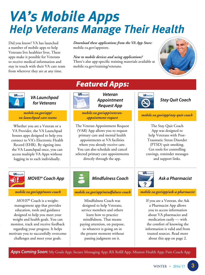## **VA's Mobile Apps Help Veterans Manage Their Health**

Did you know? VA has launched a number of mobile apps to help Veterans live healthier lives. These apps make it possible for Veterans to receive medical information and stay in touch with their VA care team from wherever they are at any time.

*Download these applications from the VA App Store:*  mobile.va.gov/appstore.

*New to mobile devices and using applications?* There's also app-specific training materials available at mobile.va.gov/training/veterans.





### *VA Launchpad for Veterans*

*mobile.va.gov/app/ va-launchpad-care-teams*

Whether you are a Veteran or a VA Provider, the VA Launchpad houses apps designed to help you connect to VA's Electronic Health Record (EHR). By signing into the VA Launchpad once, you can access multiple VA Apps without logging in to each individually.



*MOVE!® Coach App*

*mobile.va.gov/app/move-coach*

*MOVE!®* Coach is a weightmanagement app that provides education, tools and guidance designed to help you meet your weight and health goals. You can monitor, track and receive feedback regarding your progress. It helps motivate you to successfully overcome challenges and meet your goals.





*Veteran Appointment Request App*

*mobile.va.gov/app/veteranappointment-request*

The Veteran Appointment Request (VAR) App allows you to request primary care and mental health appointments at VA facilities where you already receive care. You can also schedule and cancel selected primary care appointments directly through the app.



### *Mindfulness Coach*

### *mobile.va.gov/app/mindfulness-coach*

Mindfulness Coach was designed to help Veterans, service members and others learn how to practice mindfulness. That means paying attention, on purpose, to whatever is going on in the present moment without passing judgment on it.



### *Stay Quit Coach*

*mobile.va.gov/app/stay-quit-coach* 

The Stay Quit Coach App was designed to help Veterans with Post-Traumatic Stress Disorder (PTSD) quit smoking. Get tools for controlling cravings, reminder messages and support links.



### *Ask a Pharmacist*

*mobile.va.gov/app/ask-a-pharmacist* 

If you are a Veteran, the Ask a Pharmacist App allows you to access information about VA pharmacies and medication easily — with the comfort of knowing the information is valid and from trusted sources. Read more about this app on page 2.

*Apps Coming Soon:* My Goals App; Secure Messaging App; RX Refill App; Mission Health App; Pain Coach App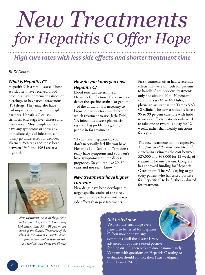# *New Treatments for Hepatitis C Offer Hope*

*High cure rates with less side effects and shorter treatment time*

*By Ed Drohan*

### *What is Hepatitis C?*

Hepatitis C is a viral disease. Those at risk often have received blood products, have homemade tattoos or piercings, or have used intravenous (IV) drugs. They may also have had unprotected sex with multiple partners. Hepatitis C causes cirrhosis, end-stage liver disease and liver cancer. Most people do not have any symptoms or show any immediate signs of infection, so it may go undetected for decades. Vietnam Veterans and those born between 1945 and 1965 are at a high risk.



*New treatment regimens for patients with chronic Hepatitis C have a very high success rate: 95 to 99 percent are cured of the disease. Treatment of the blood-borne virus is 12 weeks, down from a year, and at reduced risk. A blood test can detect the disease.* 

### *How do you know you have Hepatitis C?*

Blood tests can determine a Hepatitis C infection. Tests can also detect the specific strain – or genome – of the virus. This is necessary to know so that doctors can determine which treatment to use. Jaela Dahl, VA infectious disease pharmacist, says one big problem is getting people in for treatment.

"If you have Hepatitis C, you don't necessarily feel like you have Hepatitis C," Dahl said. "You don't really have symptoms and you won't have symptoms until the disease progresses. So you can live 20, 30 years and not really know."

### *New treatments have higher cure rate*

New drugs have been developed to target specific strains of the virus. These are more effective with fewer side effects than past treatments.

Past treatments often had severe side effects that were difficult for patients to handle. And, previous treatments only had about a 40 to 50 percent cure rate, says Mike McNulty, a physician assistant at the Tampa VA's GI Clinic. The new treatments have a 95 to 99 percent cure rate with little to no side effects. Patients only need to take one or two pills a day for 12 weeks, rather than weekly injections for a year.

The new treatments can be expensive. The *Journal of the American Medical Association* estimates the cost between \$25,000 and \$68,000 for 12 weeks of treatment for one patient. Congress has approved funding for Hepatitis C treatment. The VA is trying to get every patient who has tested positive for Hepatitis C to be further evaluated for treatment.

### *Get tested now*

VA hospitals encourage every patient to be tested for Hepatitis C. You may not have any symptoms until the disease is very advanced. If you have tested positive for Hepatitis C, then seek treatment immediately. Veterans with questions on Hepatitis C testing or evaluation should contact their Patient Aligned Care Team (PACT).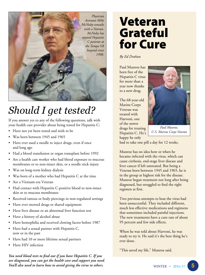

### *Should I get tested?*

If you answer yes to any of the following questions, talk with your health care provider about being tested for Hepatitis C:

- Have not yet been tested and wish to be
- Was born between 1945 and 1965
- Have ever used a needle to inject drugs, even if once and long ago
- Had a blood transfusion or organ transplant before 1992
- Are a health care worker who had blood exposure to mucous membranes or to non-intact skin, or a needle stick injury
- Was on long-term kidney dialysis
- Was born of a mother who had Hepatitis C at the time
- Are a Vietnam-era Veteran
- Had contact with Hepatitis C-positive blood to non-intact skin or to mucous membranes
- Received tattoos or body piercings in non-regulated settings
- Have ever snorted drugs or shared equipment
- Have liver disease or an abnormal liver function test
- Have a history of alcohol abuse
- Have hemophilia and received clotting factor before 1987
- Have had a sexual partner with Hepatitis C, now or in the past
- Have had 10 or more lifetime sexual partners
- Have HIV infection

*You need blood tests to find out if you have Hepatitis C. If you are diagnosed, you can get the health care and support you need. You'll also need to learn how to avoid giving the virus to others.*

## Veteran Grateful for Cure

*By Ed Drohan*

Paul Munroe has been free of the Hepatitis C virus for more than a year now thanks to a new drug.

The 68-year-old Marine Corps Veteran was treated with Harvoni, one of the newer drugs for treating Hepatitis C. He's happy he only



*Paul Munroe, U.S. Marine Corps Veteran*

had to take one pill a day for 12 weeks.

Munroe has no idea how or when he became infected with the virus, which can cause cirrhosis, end-stage liver disease and liver cancer if left untreated. But being a Veteran born between 1945 and 1965, he is in the group at highest risk for the disease. Munroe began treatment not long after being diagnosed, but struggled to find the right regimen at first.

Two previous attempts to beat the virus had been unsuccessful. They included different, much less effective medications and regimens that sometimes included painful injections. The new treatments have a cure rate of about 95 percent and few side effects.

When he was told about Harvoni, he was ready to try it. He said it's the best thing he's ever done.

"This saved my life," Munroe said.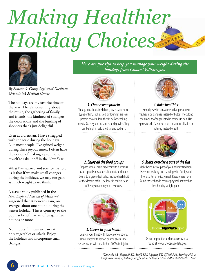# *Making Healthier Holiday Choices*



*By Simone S. Canty, Registered Dietitian Orlando VA Medical Center* 

The holidays are my favorite time of the year. There's something about the music, the gathering of family and friends, the kindness of strangers, the decorations and the bustling of shoppers that's just delightful.

Even as a dietitian, I have struggled with the scale during the holidays. Like most people, I've gained weight during these joyous times. I often have the notion of making a promise to myself to take it off in the New Year.

What I've learned and science has told us is that if we make small changes during the holidays, we may not gain as much weight as we think.

A classic study published in the *New England Journal of Medicine1* suggested that Americans gain, on average, about one pound during the winter holiday. This is contrary to the popular belief that we often gain five pounds or more.

No, it doesn't mean we can eat only vegetables or salads. Enjoy the holidays and incorporate small changes.

*Here are five tips to help you manage your weight during the holidays from ChooseMyPlate.gov.*



#### *1. Choose lean protein*

Turkey, roast beef, fresh ham, beans, and some types of fish, such as cod or flounder, are lean protein choices. Trim the fat before cooking meats. Go easy on the sauces and gravies. They can be high in saturated fat and sodium.



### *2. Enjoy all the food groups*

Prepare whole-grain crackers with hummus as an appetizer. Add unsalted nuts and black beans to a green-leaf salad. Include fresh fruit at the dessert table. Use low-fat milk instead of heavy cream in your casseroles.



*3. Cheers to good health* Quench your thirst with low-calorie options. Drink water with lemon or lime slices. Offer

seltzer water with a splash of 100% fruit juice.



### *4. Bake healthier*

Use recipes with unsweetened applesauce or mashed ripe bananas instead of butter. Try cutting the amount of sugar listed in recipes in half. Use spices to add flavor, such as cinnamon, allspice or nutmeg instead of salt.



### *5. Make exercise a part of the fun*

Make being active part of your holiday tradition. Have fun walking and dancing with family and friends after a holiday meal. Researchers have found those that do regular physical activity had less holiday weight gain.



Other helpful tips and resources can be found at www.ChooseMyPlate.gov.

*1 Yanovski JA, Yanovski SZ, Sovik KN, Nguyen TT, O'Neil PM, Sebring NG. A prospective study of holiday weight gain. N Engl J Med. 2000;342(23):861-867.*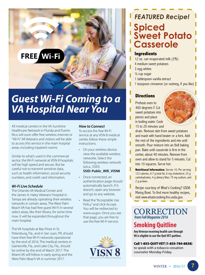

### *Guest Wi-Fi Coming to a VA Hospital Near You*

All medical centers in the VA Sunshine Healthcare Network in Florida and Puerto Rico will soon offer free wireless internet or "Wi-Fi." All Veterans and visitors will be able to access this service in the main hospital areas, including inpatient rooms.

Similar to what's used in the commercial sector, the Wi-Fi network at VISN 8 hospitals will be high speed and secure. But be careful not to transmit sensitive data, such as health information, social security numbers, and credit card information.

#### *Wi-Fi Live Schedule*

The Orlando VA Medical Center and the James A. Haley Veterans' Hospital in Tampa are already operating their wireless networks in certain areas. The West Palm Beach VA has had free guest Wi-Fi in several select areas, like their library, for some time now. It will be expanded throughout the main hospital.

The VA hospitals at Bay Pines in St. Petersburg, Fla., and in San Juan, PR, should have their free Wi-Fi networks operational by the end of 2016. The medical centers in Gainesville, Fla., and Lake City, Fla., should be online by the end of March 2017. The Miami VA will follow in early spring and the West Palm Beach VA in summer 2017.

#### *How to Connect*

To access the free Wi-Fi service at any VISN 8 medical center, follow these simple instructions:

- On your wireless device, view the available wireless networks. Select the following wireless network (a.k.a., SSID): **SSID: Public\_Wifi\_VISN8**
- Once connected, an authentication page should automatically launch. If it doesn't, open any browser and go to any website.
- Read the "Acceptable Use Policy" and click Accept. You will be redirected to www.va.gov. Once you see that page, you are free to use the free Wi-Fi service.



### *FEATURED Recipe!* **Spiced Sweet Potato Casserole**

### **Ingredients**

- 12 oz. can evaporated milk (2%)
- 4 medium sweet potatoes
- 3 egg whites
- ½ cup sugar
- 1 tablespoon vanilla extract
- 1 teaspoon cinnamon (or nutmeg, if you like)

### **Directions**

Preheat oven to 400 degrees F. Cut sweet potatoes into pieces and place in boiling water. Cook 15 to 20 minutes and



drain. Remove skin from sweet potatoes and mash with hand beater or a fork. Add the rest of the ingredients and mix until smooth. Pour mixture into an 8x8 baking pan. Bake until casserole is firm in the center, about 40 minutes. Remove from oven and allow to stand for 5 minutes. Cut into 10 squares. Serve hot.

**Nutritional Information:** Serves 10. Per serving: 123 calories, 0.7 g total fat, 6 mg cholesterol, 25 g carbohydrates, 4 g dietary fiber, 75 mg sodium, and 2 g protein.

Recipe courtesy of What's Cooking? USDA Mixing Bowl. To find more healthy recipes, visit www.whatscooking.fns.usda.gov.

**CORRECTION** *from Fall Magazine 2016*

### **Smoking Quitline**

**Any Veteran receiving health care through VA is eligible to use the Quit VET quitline.**

### Call 1-855-QUIT-VET (1-855-784-8838)

to speak with a tobacco cessation counselor Monday-Friday.